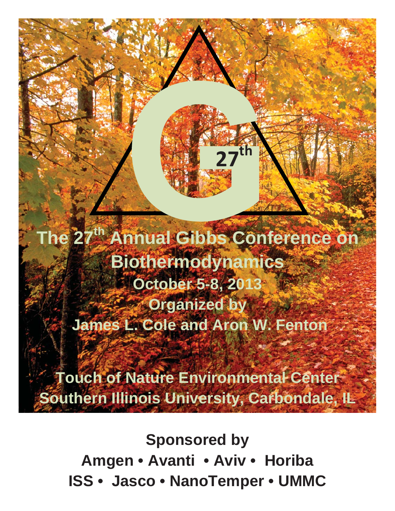**The 27th Annual Gibbs Conference on Biothermodynamics**  *C* October 5-8, 201 *<u>Organized by</u>*  **James L. Cole and Aron W. Fenton** 

**27th**

**Touch of Nature Environmental Center Southern Illinois University, Carbondale, IL** 

**Sponsored by Amgen • Avanti • Aviv • Horiba ISS • Jasco • NanoTemper • UMMC**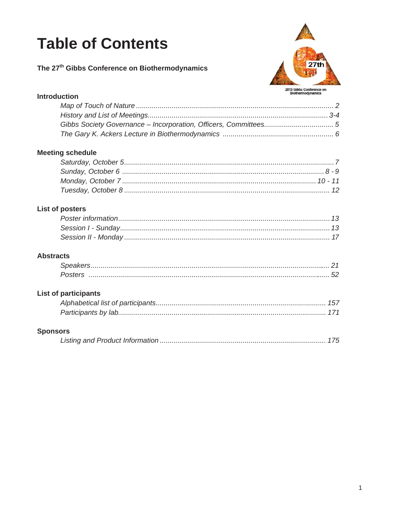# **Table of Contents**

The 27<sup>th</sup> Gibbs Conference on Biothermodynamics



#### **Introduction**

#### **Meeting schedule**

#### **List of posters**

#### **Abstracts**

| Poster: |  |
|---------|--|

#### **List of participants**

#### **Sponsors**

|--|--|--|--|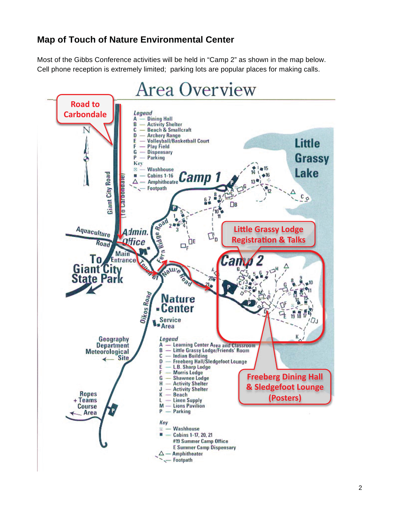### **Map of Touch of Nature Environmental Center**

Most of the Gibbs Conference activities will be held in "Camp 2" as shown in the map below. Cell phone reception is extremely limited; parking lots are popular places for making calls.

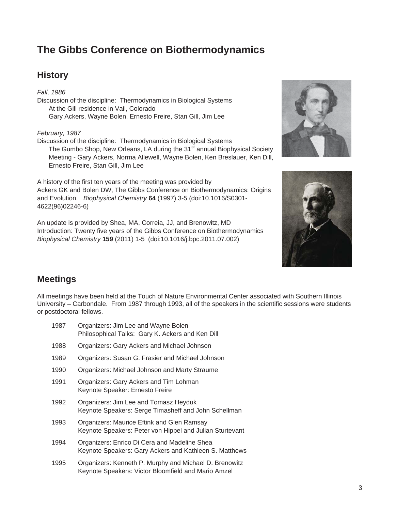# **The Gibbs Conference on Biothermodynamics**

### **History**

*Fall, 1986*  Discussion of the discipline: Thermodynamics in Biological Systems At the Gill residence in Vail, Colorado Gary Ackers, Wayne Bolen, Ernesto Freire, Stan Gill, Jim Lee

#### *February, 1987*

Discussion of the discipline: Thermodynamics in Biological Systems The Gumbo Shop, New Orleans, LA during the 31<sup>st</sup> annual Biophysical Society Meeting - Gary Ackers, Norma Allewell, Wayne Bolen, Ken Breslauer, Ken Dill, Ernesto Freire, Stan Gill, Jim Lee

A history of the first ten years of the meeting was provided by Ackers GK and Bolen DW, The Gibbs Conference on Biothermodynamics: Origins and Evolution. *Biophysical Chemistry* **64** (1997) 3-5 (doi:10.1016/S0301- 4622(96)02246-6)

An update is provided by Shea, MA, Correia, JJ, and Brenowitz, MD Introduction: Twenty five years of the Gibbs Conference on Biothermodynamics *Biophysical Chemistry* **159** (2011) 1-5 (doi:10.1016/j.bpc.2011.07.002)





### **Meetings**

All meetings have been held at the Touch of Nature Environmental Center associated with Southern Illinois University – Carbondale. From 1987 through 1993, all of the speakers in the scientific sessions were students or postdoctoral fellows.

| 1987 | Organizers: Jim Lee and Wayne Bolen<br>Philosophical Talks: Gary K. Ackers and Ken Dill                |
|------|--------------------------------------------------------------------------------------------------------|
| 1988 | Organizers: Gary Ackers and Michael Johnson                                                            |
| 1989 | Organizers: Susan G. Frasier and Michael Johnson                                                       |
| 1990 | Organizers: Michael Johnson and Marty Straume                                                          |
| 1991 | Organizers: Gary Ackers and Tim Lohman<br>Keynote Speaker: Ernesto Freire                              |
| 1992 | Organizers: Jim Lee and Tomasz Heyduk<br>Keynote Speakers: Serge Timasheff and John Schellman          |
| 1993 | Organizers: Maurice Eftink and Glen Ramsay<br>Keynote Speakers: Peter von Hippel and Julian Sturtevant |
| 1994 | Organizers: Enrico Di Cera and Madeline Shea<br>Keynote Speakers: Gary Ackers and Kathleen S. Matthews |
| 1995 | Organizers: Kenneth P. Murphy and Michael D. Brenowitz                                                 |

Keynote Speakers: Victor Bloomfield and Mario Amzel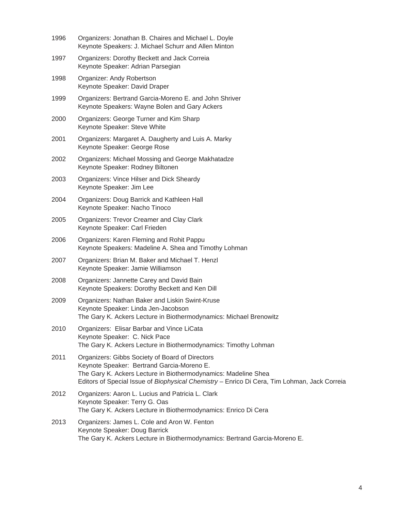| 1996 | Organizers: Jonathan B. Chaires and Michael L. Doyle<br>Keynote Speakers: J. Michael Schurr and Allen Minton                                                                                                                                                    |
|------|-----------------------------------------------------------------------------------------------------------------------------------------------------------------------------------------------------------------------------------------------------------------|
| 1997 | Organizers: Dorothy Beckett and Jack Correia<br>Keynote Speaker: Adrian Parsegian                                                                                                                                                                               |
| 1998 | Organizer: Andy Robertson<br>Keynote Speaker: David Draper                                                                                                                                                                                                      |
| 1999 | Organizers: Bertrand Garcia-Moreno E. and John Shriver<br>Keynote Speakers: Wayne Bolen and Gary Ackers                                                                                                                                                         |
| 2000 | Organizers: George Turner and Kim Sharp<br>Keynote Speaker: Steve White                                                                                                                                                                                         |
| 2001 | Organizers: Margaret A. Daugherty and Luis A. Marky<br>Keynote Speaker: George Rose                                                                                                                                                                             |
| 2002 | Organizers: Michael Mossing and George Makhatadze<br>Keynote Speaker: Rodney Biltonen                                                                                                                                                                           |
| 2003 | Organizers: Vince Hilser and Dick Sheardy<br>Keynote Speaker: Jim Lee                                                                                                                                                                                           |
| 2004 | Organizers: Doug Barrick and Kathleen Hall<br>Keynote Speaker: Nacho Tinoco                                                                                                                                                                                     |
| 2005 | Organizers: Trevor Creamer and Clay Clark<br>Keynote Speaker: Carl Frieden                                                                                                                                                                                      |
| 2006 | Organizers: Karen Fleming and Rohit Pappu<br>Keynote Speakers: Madeline A. Shea and Timothy Lohman                                                                                                                                                              |
| 2007 | Organizers: Brian M. Baker and Michael T. Henzl<br>Keynote Speaker: Jamie Williamson                                                                                                                                                                            |
| 2008 | Organizers: Jannette Carey and David Bain<br>Keynote Speakers: Dorothy Beckett and Ken Dill                                                                                                                                                                     |
| 2009 | Organizers: Nathan Baker and Liskin Swint-Kruse<br>Keynote Speaker: Linda Jen-Jacobson<br>The Gary K. Ackers Lecture in Biothermodynamics: Michael Brenowitz                                                                                                    |
| 2010 | Organizers: Elisar Barbar and Vince LiCata<br>Keynote Speaker: C. Nick Pace<br>The Gary K. Ackers Lecture in Biothermodynamics: Timothy Lohman                                                                                                                  |
| 2011 | Organizers: Gibbs Society of Board of Directors<br>Keynote Speaker: Bertrand Garcia-Moreno E.<br>The Gary K. Ackers Lecture in Biothermodynamics: Madeline Shea<br>Editors of Special Issue of Biophysical Chemistry - Enrico Di Cera, Tim Lohman, Jack Correia |
| 2012 | Organizers: Aaron L. Lucius and Patricia L. Clark<br>Keynote Speaker: Terry G. Oas<br>The Gary K. Ackers Lecture in Biothermodynamics: Enrico Di Cera                                                                                                           |
| 2013 | Organizers: James L. Cole and Aron W. Fenton<br>Keynote Speaker: Doug Barrick<br>The Gary K. Ackers Lecture in Biothermodynamics: Bertrand Garcia-Moreno E.                                                                                                     |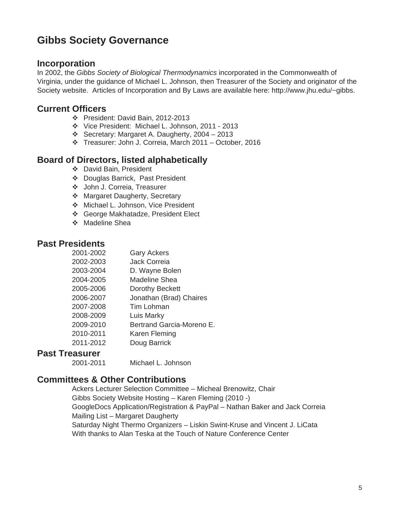# **Gibbs Society Governance**

#### **Incorporation**

In 2002, the *Gibbs Society of Biological Thermodynamics* incorporated in the Commonwealth of Virginia, under the guidance of Michael L. Johnson, then Treasurer of the Society and originator of the Society website. Articles of Incorporation and By Laws are available here: http://www.jhu.edu/~gibbs.

### **Current Officers**

- President: David Bain, 2012-2013
- Vice President: Michael L. Johnson, 2011 2013
- Secretary: Margaret A. Daugherty, 2004 2013
- Treasurer: John J. Correia, March 2011 October, 2016

### **Board of Directors, listed alphabetically**

- David Bain, President
- Douglas Barrick, Past President
- John J. Correia, Treasurer
- ◆ Margaret Daugherty, Secretary
- ◆ Michael L. Johnson, Vice President
- George Makhatadze, President Elect
- ❖ Madeline Shea

#### **Past Presidents**

| 2001-2002 | <b>Gary Ackers</b>        |
|-----------|---------------------------|
| 2002-2003 | <b>Jack Correja</b>       |
| 2003-2004 | D. Wayne Bolen            |
| 2004-2005 | Madeline Shea             |
| 2005-2006 | Dorothy Beckett           |
| 2006-2007 | Jonathan (Brad) Chaires   |
| 2007-2008 | Tim Lohman                |
| 2008-2009 | Luis Marky                |
| 2009-2010 | Bertrand Garcia-Moreno E. |
| 2010-2011 | Karen Fleming             |
| 2011-2012 | Doug Barrick              |
|           |                           |

#### **Past Treasurer**

2001-2011 Michael L. Johnson

### **Committees & Other Contributions**

Ackers Lecturer Selection Committee – Micheal Brenowitz, Chair Gibbs Society Website Hosting – Karen Fleming (2010 -) GoogleDocs Application/Registration & PayPal – Nathan Baker and Jack Correia Mailing List – Margaret Daugherty Saturday Night Thermo Organizers – Liskin Swint-Kruse and Vincent J. LiCata With thanks to Alan Teska at the Touch of Nature Conference Center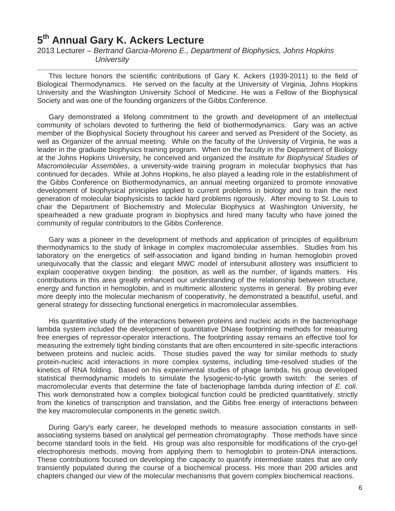### **5th Annual Gary K. Ackers Lecture**

2013 Lecturer *– Bertrand Garcia-Moreno E., Department of Biophysics, Johns Hopkins University* 

This lecture honors the scientific contributions of Gary K. Ackers (1939-2011) to the field of Biological Thermodynamics. He served on the faculty at the University of Virginia, Johns Hopkins University and the Washington University School of Medicine. He was a Fellow of the Biophysical Society and was one of the founding organizers of the Gibbs Conference.

Gary demonstrated a lifelong commitment to the growth and development of an intellectual community of scholars devoted to furthering the field of biothermodynamics. Gary was an active member of the Biophysical Society throughout his career and served as President of the Society, as well as Organizer of the annual meeting. While on the faculty of the University of Virginia, he was a leader in the graduate biophysics training program. When on the faculty in the Department of Biology at the Johns Hopkins University, he conceived and organized the *Institute for Biophysical Studies of Macromolecular Assemblies*, a university-wide training program in molecular biophysics that has continued for decades. While at Johns Hopkins, he also played a leading role in the establishment of the Gibbs Conference on Biothermodynamics, an annual meeting organized to promote innovative development of biophysical principles applied to current problems in biology and to train the next generation of molecular biophysicists to tackle hard problems rigorously. After moving to St. Louis to chair the Department of Biochemistry and Molecular Biophysics at Washington University, he spearheaded a new graduate program in biophysics and hired many faculty who have joined the community of regular contributors to the Gibbs Conference.

Gary was a pioneer in the development of methods and application of principles of equilibrium thermodynamics to the study of linkage in complex macromolecular assemblies. Studies from his laboratory on the energetics of self-association and ligand binding in human hemoglobin proved unequivocally that the classic and elegant MWC model of intersubunit allostery was insufficient to explain cooperative oxygen binding: the position, as well as the number, of ligands matters. His contributions in this area greatly enhanced our understanding of the relationship between structure, energy and function in hemoglobin, and in multimeric allosteric systems in general. By probing ever more deeply into the molecular mechanism of cooperativity, he demonstrated a beautiful, useful, and general strategy for dissecting functional energetics in macromolecular assemblies.

His quantitative study of the interactions between proteins and nucleic acids in the bacteriophage lambda system included the development of quantitative DNase footprinting methods for measuring free energies of repressor-operator interactions. The footprinting assay remains an effective tool for measuring the extremely tight binding constants that are often encountered in site-specific interactions between proteins and nucleic acids. Those studies paved the way for similar methods to study protein-nucleic acid interactions in more complex systems, including time-resolved studies of the kinetics of RNA folding. Based on his experimental studies of phage lambda, his group developed statistical thermodynamic models to simulate the lysogenic-to-lytic growth switch: the series of macromolecular events that determine the fate of bacteriophage lambda during infection of *E. coli*. This work demonstrated how a complex biological function could be predicted quantitatively, strictly from the kinetics of transcription and translation, and the Gibbs free energy of interactions between the key macromolecular components in the genetic switch.

During Gary's early career, he developed methods to measure association constants in selfassociating systems based on analytical gel permeation chromatography. Those methods have since become standard tools in the field. His group was also responsible for modifications of the cryo-gel electrophoresis methods, moving from applying them to hemoglobin to protein-DNA interactions. These contributions focused on developing the capacity to quantify intermediate states that are only transiently populated during the course of a biochemical process. His more than 200 articles and chapters changed our view of the molecular mechanisms that govern complex biochemical reactions.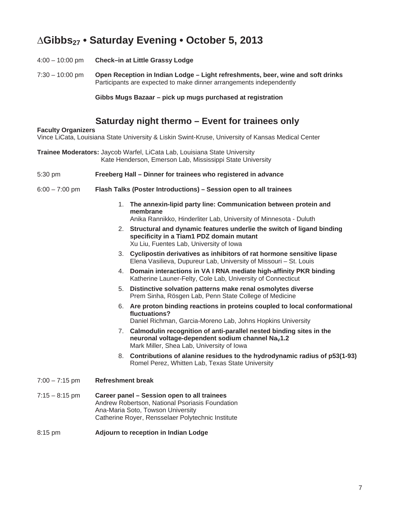# **¨Gibbs27 • Saturday Evening • October 5, 2013**

- 4:00 10:00 pm **Check–in at Little Grassy Lodge**
- 7:30 10:00 pm **Open Reception in Indian Lodge Light refreshments, beer, wine and soft drinks**  Participants are expected to make dinner arrangements independently

**Gibbs Mugs Bazaar – pick up mugs purchased at registration** 

### **Saturday night thermo – Event for trainees only**

#### **Faculty Organizers**

Vince LiCata, Louisiana State University & Liskin Swint-Kruse, University of Kansas Medical Center

- **Trainee Moderators:** Jaycob Warfel, LiCata Lab, Louisiana State University Kate Henderson, Emerson Lab, Mississippi State University
- 5:30 pm **Freeberg Hall Dinner for trainees who registered in advance**
- 6:00 7:00 pm **Flash Talks (Poster Introductions) Session open to all trainees**
	- 1. **The annexin-lipid party line: Communication between protein and membrane**  Anika Rannikko, Hinderliter Lab, University of Minnesota - Duluth
	- 2. **Structural and dynamic features underlie the switch of ligand binding specificity in a Tiam1 PDZ domain mutant** Xu Liu, Fuentes Lab, University of Iowa
	- 3. **Cyclipostin derivatives as inhibitors of rat hormone sensitive lipase**  Elena Vasilieva, Dupureur Lab, University of Missouri – St. Louis
	- 4. **Domain interactions in VA I RNA mediate high-affinity PKR binding**  Katherine Launer-Felty, Cole Lab, University of Connecticut
	- 5. **Distinctive solvation patterns make renal osmolytes diverse** Prem Sinha, Rösgen Lab, Penn State College of Medicine
	- 6. **Are proton binding reactions in proteins coupled to local conformational fluctuations?** Daniel Richman, Garcia-Moreno Lab, Johns Hopkins University
	- 7. **Calmodulin recognition of anti-parallel nested binding sites in the**
	- neuronal voltage-dependent sodium channel Na<sub>v</sub>1.2 Mark Miller, Shea Lab, University of Iowa
	- 8. **Contributions of alanine residues to the hydrodynamic radius of p53(1-93)** Romel Perez, Whitten Lab, Texas State University
- 7:00 7:15 pm **Refreshment break**
- 7:15 8:15 pm **Career panel Session open to all trainees**  Andrew Robertson, National Psoriasis Foundation Ana-Maria Soto, Towson University Catherine Royer, Rensselaer Polytechnic Institute
- 8:15 pm **Adjourn to reception in Indian Lodge**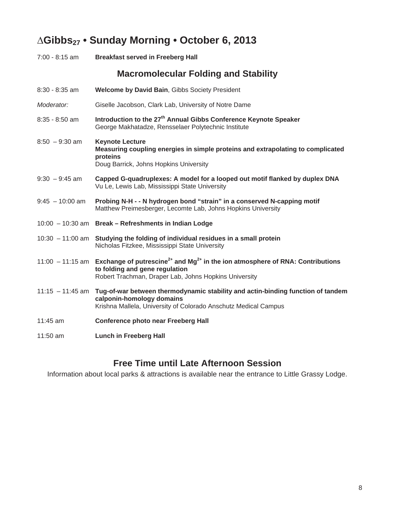# **¨Gibbs27 • Sunday Morning • October 6, 2013**

| 7:00 - 8:15 am     | <b>Breakfast served in Freeberg Hall</b>                                                                                                                                                                          |
|--------------------|-------------------------------------------------------------------------------------------------------------------------------------------------------------------------------------------------------------------|
|                    | <b>Macromolecular Folding and Stability</b>                                                                                                                                                                       |
| 8:30 - 8:35 am     | Welcome by David Bain, Gibbs Society President                                                                                                                                                                    |
| Moderator:         | Giselle Jacobson, Clark Lab, University of Notre Dame                                                                                                                                                             |
| 8:35 - 8:50 am     | Introduction to the 27 <sup>th</sup> Annual Gibbs Conference Keynote Speaker<br>George Makhatadze, Rensselaer Polytechnic Institute                                                                               |
| $8:50 - 9:30$ am   | <b>Keynote Lecture</b><br>Measuring coupling energies in simple proteins and extrapolating to complicated<br>proteins<br>Doug Barrick, Johns Hopkins University                                                   |
| $9:30 - 9:45$ am   | Capped G-quadruplexes: A model for a looped out motif flanked by duplex DNA<br>Vu Le, Lewis Lab, Mississippi State University                                                                                     |
| $9:45 - 10:00$ am  | Probing N-H - - N hydrogen bond "strain" in a conserved N-capping motif<br>Matthew Preimesberger, Lecomte Lab, Johns Hopkins University                                                                           |
|                    | 10:00 - 10:30 am Break - Refreshments in Indian Lodge                                                                                                                                                             |
|                    | $10:30 - 11:00$ am Studying the folding of individual residues in a small protein<br>Nicholas Fitzkee, Mississippi State University                                                                               |
|                    | 11:00 - 11:15 am Exchange of putrescine <sup>2+</sup> and Mg <sup>2+</sup> in the ion atmosphere of RNA: Contributions<br>to folding and gene regulation<br>Robert Trachman, Draper Lab, Johns Hopkins University |
| $11:15 - 11:45$ am | Tug-of-war between thermodynamic stability and actin-binding function of tandem<br>calponin-homology domains<br>Krishna Mallela, University of Colorado Anschutz Medical Campus                                   |
| 11:45 am           | <b>Conference photo near Freeberg Hall</b>                                                                                                                                                                        |
| 11:50 am           | <b>Lunch in Freeberg Hall</b>                                                                                                                                                                                     |

### **Free Time until Late Afternoon Session**

Information about local parks & attractions is available near the entrance to Little Grassy Lodge.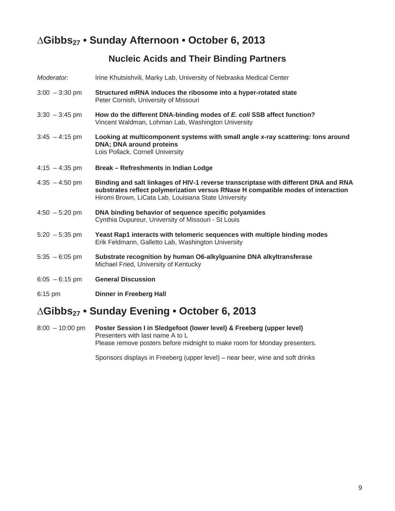# **¨Gibbs27 • Sunday Afternoon • October 6, 2013**

### **Nucleic Acids and Their Binding Partners**

| Moderator:               | Irine Khutsishvili, Marky Lab, University of Nebraska Medical Center                                                                                                                                                            |
|--------------------------|---------------------------------------------------------------------------------------------------------------------------------------------------------------------------------------------------------------------------------|
| $3:00 - 3:30$ pm         | Structured mRNA induces the ribosome into a hyper-rotated state<br>Peter Cornish, University of Missouri                                                                                                                        |
| $3:30 - 3:45$ pm         | How do the different DNA-binding modes of E. coli SSB affect function?<br>Vincent Waldman, Lohman Lab, Washington University                                                                                                    |
| $3:45 - 4:15$ pm         | Looking at multicomponent systems with small angle x-ray scattering: lons around<br><b>DNA; DNA around proteins</b><br>Lois Pollack, Cornell University                                                                         |
| $4:15 - 4:35$ pm         | Break – Refreshments in Indian Lodge                                                                                                                                                                                            |
| $4:35 - 4:50$ pm         | Binding and salt linkages of HIV-1 reverse transcriptase with different DNA and RNA<br>substrates reflect polymerization versus RNase H compatible modes of interaction<br>Hiromi Brown, LiCata Lab, Louisiana State University |
| $4:50 - 5:20$ pm         | DNA binding behavior of sequence specific polyamides<br>Cynthia Dupureur, University of Missouri - St Louis                                                                                                                     |
| $5:20 - 5:35$ pm         | Yeast Rap1 interacts with telomeric sequences with multiple binding modes<br>Erik Feldmann, Galletto Lab, Washington University                                                                                                 |
| $5:35 - 6:05$ pm         | Substrate recognition by human O6-alkylguanine DNA alkyltransferase<br>Michael Fried, University of Kentucky                                                                                                                    |
| $6:05 - 6:15 \text{ pm}$ | <b>General Discussion</b>                                                                                                                                                                                                       |
| 6:15 pm                  | <b>Dinner in Freeberg Hall</b>                                                                                                                                                                                                  |

# **¨Gibbs27 • Sunday Evening • October 6, 2013**

8:00 – 10:00 pm **Poster Session I in Sledgefoot (lower level) & Freeberg (upper level)** Presenters with last name A to L Please remove posters before midnight to make room for Monday presenters.

Sponsors displays in Freeberg (upper level) – near beer, wine and soft drinks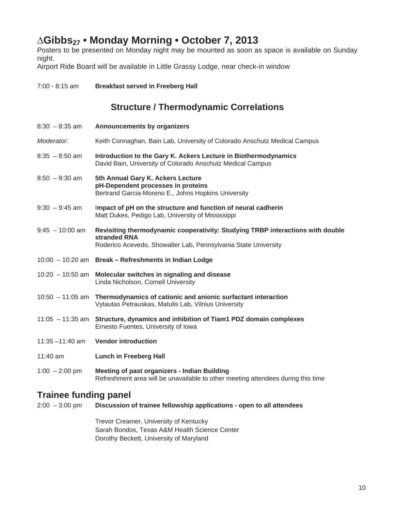# **¨Gibbs27 • Monday Morning • October 7, 2013**

Posters to be presented on Monday night may be mounted as soon as space is available on Sunday night.

Airport Ride Board will be available in Little Grassy Lodge, near check-in window

| 7:00 - 8:15 am     | <b>Breakfast served in Freeberg Hall</b>                                                                                                                         |
|--------------------|------------------------------------------------------------------------------------------------------------------------------------------------------------------|
|                    | <b>Structure / Thermodynamic Correlations</b>                                                                                                                    |
| $8:30 - 8:35$ am   | Announcements by organizers                                                                                                                                      |
| Moderator:         | Keith Connaghan, Bain Lab, University of Colorado Anschutz Medical Campus                                                                                        |
| $8:35 - 8:50$ am   | Introduction to the Gary K. Ackers Lecture in Biothermodynamics<br>David Bain, University of Colorado Anschutz Medical Campus                                    |
| $8:50 - 9:30$ am   | 5th Annual Gary K. Ackers Lecture<br>pH-Dependent processes in proteins<br>Bertrand Garcia-Moreno E., Johns Hopkins University                                   |
| $9:30 - 9:45$ am   | Impact of pH on the structure and function of neural cadherin<br>Matt Dukes, Pedigo Lab, University of Mississippi                                               |
| $9:45 - 10:00$ am  | Revisiting thermodynamic cooperativity: Studying TRBP interactions with double<br>stranded RNA<br>Roderico Acevedo, Showalter Lab, Pennsylvania State University |
|                    | 10:00 - 10:20 am Break - Refreshments in Indian Lodge                                                                                                            |
| $10:20 - 10:50$ am | Molecular switches in signaling and disease<br>Linda Nicholson, Cornell University                                                                               |
| $10:50 - 11:05$ am | Thermodynamics of cationic and anionic surfactant interaction<br>Vytautas Petrauskas, Matulis Lab, Vilnius University                                            |
|                    | 11:05 - 11:35 am Structure, dynamics and inhibition of Tiam1 PDZ domain complexes<br>Ernesto Fuentes, University of Iowa                                         |
| $11:35 - 11:40$ am | <b>Vendor introduction</b>                                                                                                                                       |
| 11:40 $am$         | <b>Lunch in Freeberg Hall</b>                                                                                                                                    |
| $1:00 - 2:00$ pm   | <b>Meeting of past organizers - Indian Building</b>                                                                                                              |

### **Trainee funding panel**

| 2:00 – 3:00 pm | Discussion of trainee fellowship applications - open to all attendees |
|----------------|-----------------------------------------------------------------------|
|                | Trevor Creamer, University of Kentucky                                |

Refreshment area will be unavailable to other meeting attendees during this time

 Sarah Bondos, Texas A&M Health Science Center Dorothy Beckett, University of Maryland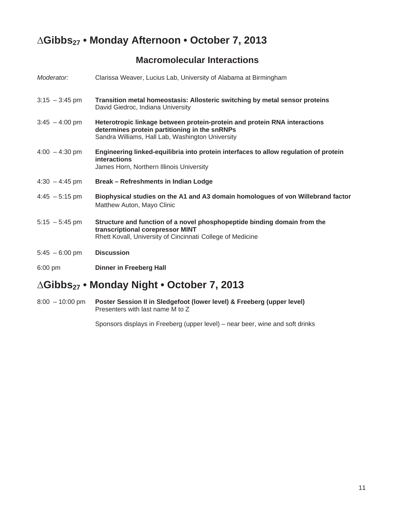# **¨Gibbs27 • Monday Afternoon • October 7, 2013**

### **Macromolecular Interactions**

| Moderator:       | Clarissa Weaver, Lucius Lab, University of Alabama at Birmingham                                                                                                               |
|------------------|--------------------------------------------------------------------------------------------------------------------------------------------------------------------------------|
| $3:15 - 3:45$ pm | Transition metal homeostasis: Allosteric switching by metal sensor proteins<br>David Giedroc, Indiana University                                                               |
| $3:45 - 4:00$ pm | Heterotropic linkage between protein-protein and protein RNA interactions<br>determines protein partitioning in the snRNPs<br>Sandra Williams, Hall Lab, Washington University |
| $4:00 - 4:30$ pm | Engineering linked-equilibria into protein interfaces to allow regulation of protein<br><b>interactions</b><br>James Horn, Northern Illinois University                        |
| $4:30 - 4:45$ pm | Break - Refreshments in Indian Lodge                                                                                                                                           |
| $4:45 - 5:15$ pm | Biophysical studies on the A1 and A3 domain homologues of von Willebrand factor<br>Matthew Auton, Mayo Clinic                                                                  |
| $5:15 - 5:45$ pm | Structure and function of a novel phosphopeptide binding domain from the<br>transcriptional corepressor MINT<br>Rhett Kovall, University of Cincinnati College of Medicine     |
| $5:45 - 6:00$ pm | <b>Discussion</b>                                                                                                                                                              |
| $6:00$ pm        | <b>Dinner in Freeberg Hall</b>                                                                                                                                                 |

# **¨Gibbs27 • Monday Night • October 7, 2013**

8:00 – 10:00 pm **Poster Session II in Sledgefoot (lower level) & Freeberg (upper level)** Presenters with last name M to Z

Sponsors displays in Freeberg (upper level) – near beer, wine and soft drinks